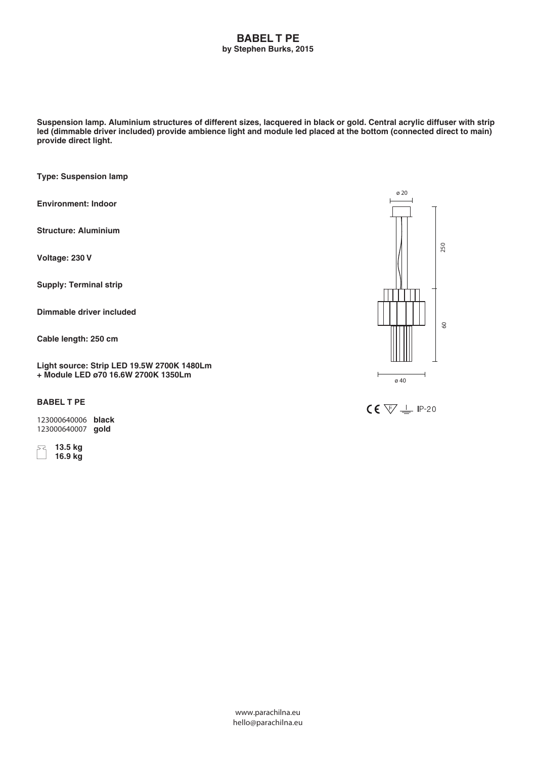## **BABEL T PE by Stephen Burks, 2015**

**Suspension lamp. Aluminium structures of different sizes, lacquered in black or gold. Central acrylic diffuser with strip led (dimmable driver included) provide ambience light and module led placed at the bottom (connected direct to main) provide direct light.**

**Type: Suspension lamp**

**Environment: Indoor**

**Structure: Aluminium**

**Voltage: 230 V**

**Supply: Terminal strip**

**Dimmable driver included**

**Cable length: 250 cm**

**Light source: Strip LED 19.5W 2700K 1480Lm + Module LED ø70 16.6W 2700K 1350Lm**

## **BABEL T PE**

**123000640006 black 123000640007 gold**

 **13.5 kg 16.9 kg**



 $CE \n\sqrt{2}$  IP-20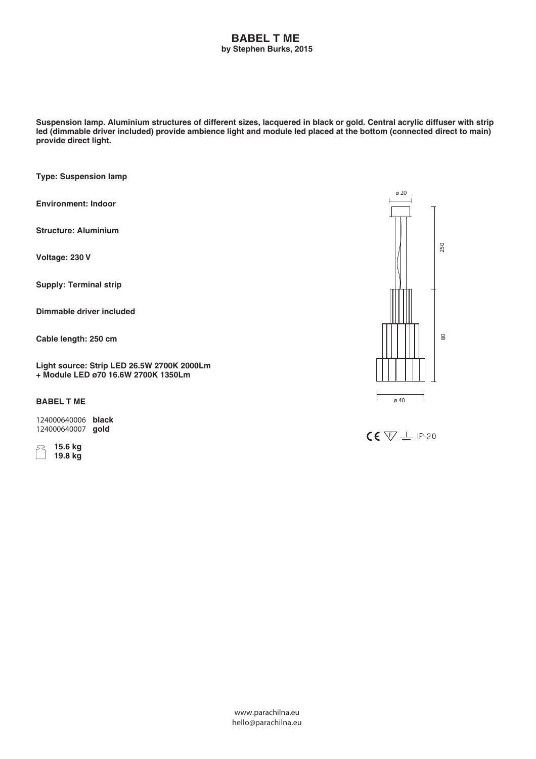## **BABEL T ME by Stephen Burks, 2015**

**Suspension lamp. Aluminium structures of different sizes, lacquered in black or gold. Central acrylic diffuser with strip led (dimmable driver included) provide ambience light and module led placed at the bottom (connected direct to main) provide direct light.**

**Type: Suspension lamp**

**Environment: Indoor**

**Structure: Aluminium**

**Voltage: 230 V**

**Supply: Terminal strip**

**Dimmable driver included**

**Cable length: 250 cm**

**Light source: Strip LED 26.5W 2700K 2000Lm + Module LED ø70 16.6W 2700K 1350Lm**

**BABEL T ME**

**124000640006 black 124000640007 gold**

 **15.6 kg 19.8 kg**



 $CE \nabla \pm P.20$